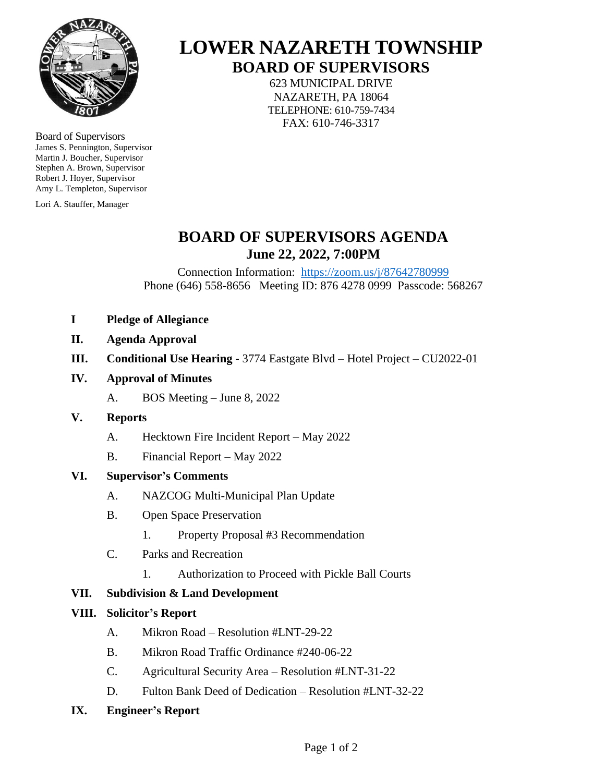

Board of Supervisors James S. Pennington, Supervisor Martin J. Boucher, Supervisor Stephen A. Brown, Supervisor Robert J. Hoyer, Supervisor Amy L. Templeton, Supervisor

Lori A. Stauffer, Manager

# **LOWER NAZARETH TOWNSHIP BOARD OF SUPERVISORS**

623 MUNICIPAL DRIVE NAZARETH, PA 18064 TELEPHONE: 610-759-7434 FAX: 610-746-3317

# **BOARD OF SUPERVISORS AGENDA June 22, 2022, 7:00PM**

Connection Information: <https://zoom.us/j/87642780999> Phone (646) 558-8656 Meeting ID: 876 4278 0999 Passcode: 568267

- **I Pledge of Allegiance**
- **II. Agenda Approval**
- **III. Conditional Use Hearing -** 3774 Eastgate Blvd Hotel Project CU2022-01
- **IV. Approval of Minutes**
	- A. BOS Meeting June 8, 2022
- **V. Reports**
	- A. Hecktown Fire Incident Report May 2022
	- B. Financial Report May 2022

#### **VI. Supervisor's Comments**

- A. NAZCOG Multi-Municipal Plan Update
- B. Open Space Preservation
	- 1. Property Proposal #3 Recommendation
- C. Parks and Recreation
	- 1. Authorization to Proceed with Pickle Ball Courts

# **VII. Subdivision & Land Development**

#### **VIII. Solicitor's Report**

- A. Mikron Road Resolution #LNT-29-22
- B. Mikron Road Traffic Ordinance #240-06-22
- C. Agricultural Security Area Resolution #LNT-31-22
- D. Fulton Bank Deed of Dedication Resolution #LNT-32-22
- **IX. Engineer's Report**